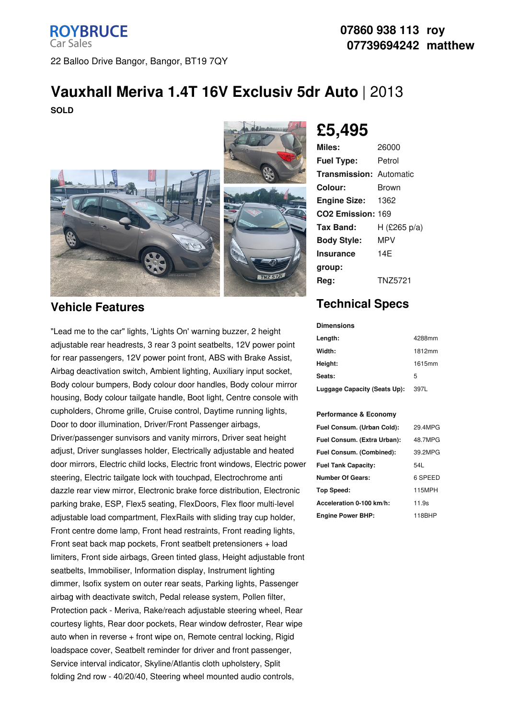## **ROYBRUCE Car Sales** 22 Balloo Drive Bangor, Bangor, BT19 7QY

### **07860 938 113 roy 07739694242 matthew**

# **Vauxhall Meriva 1.4T 16V Exclusiv 5dr Auto** | 2013

**SOLD**



## **Vehicle Features**

"Lead me to the car" lights, 'Lights On' warning buzzer, 2 height adjustable rear headrests, 3 rear 3 point seatbelts, 12V power point for rear passengers, 12V power point front, ABS with Brake Assist, Airbag deactivation switch, Ambient lighting, Auxiliary input socket, Body colour bumpers, Body colour door handles, Body colour mirror housing, Body colour tailgate handle, Boot light, Centre console with cupholders, Chrome grille, Cruise control, Daytime running lights, Door to door illumination, Driver/Front Passenger airbags, Driver/passenger sunvisors and vanity mirrors, Driver seat height adjust, Driver sunglasses holder, Electrically adjustable and heated door mirrors, Electric child locks, Electric front windows, Electric power steering, Electric tailgate lock with touchpad, Electrochrome anti dazzle rear view mirror, Electronic brake force distribution, Electronic parking brake, ESP, Flex5 seating, FlexDoors, Flex floor multi-level adjustable load compartment, FlexRails with sliding tray cup holder, Front centre dome lamp, Front head restraints, Front reading lights, Front seat back map pockets, Front seatbelt pretensioners + load limiters, Front side airbags, Green tinted glass, Height adjustable front seatbelts, Immobiliser, Information display, Instrument lighting dimmer, Isofix system on outer rear seats, Parking lights, Passenger airbag with deactivate switch, Pedal release system, Pollen filter, Protection pack - Meriva, Rake/reach adjustable steering wheel, Rear courtesy lights, Rear door pockets, Rear window defroster, Rear wipe auto when in reverse + front wipe on, Remote central locking, Rigid loadspace cover, Seatbelt reminder for driver and front passenger, Service interval indicator, Skyline/Atlantis cloth upholstery, Split folding 2nd row - 40/20/40, Steering wheel mounted audio controls,

## **£5,495**

| Miles:                         | 26000          |
|--------------------------------|----------------|
| <b>Fuel Type:</b>              | Petrol         |
| <b>Transmission: Automatic</b> |                |
| Colour:                        | Brown          |
| <b>Engine Size:</b>            | 1362           |
| CO <sub>2</sub> Emission: 169  |                |
| Tax Band:                      | H (£265 p/a)   |
| <b>Body Style:</b>             | MPV            |
| Insurance                      | 14F            |
| group:                         |                |
| Reg:                           | <b>TNZ5721</b> |

## **Technical Specs**

#### **Dimensions**

| Length:                      | 4288mm |
|------------------------------|--------|
| Width:                       | 1812mm |
| Height:                      | 1615mm |
| Seats:                       | 5      |
| Luggage Capacity (Seats Up): | 397L   |

#### **Performance & Economy**

| Fuel Consum. (Urban Cold):  | 29.4MPG |
|-----------------------------|---------|
| Fuel Consum. (Extra Urban): | 48.7MPG |
| Fuel Consum. (Combined):    | 39.2MPG |
| <b>Fuel Tank Capacity:</b>  | 54L     |
| <b>Number Of Gears:</b>     | 6 SPEED |
| Top Speed:                  | 115MPH  |
| Acceleration 0-100 km/h:    | 11.9s   |
| <b>Engine Power BHP:</b>    | 118BHP  |